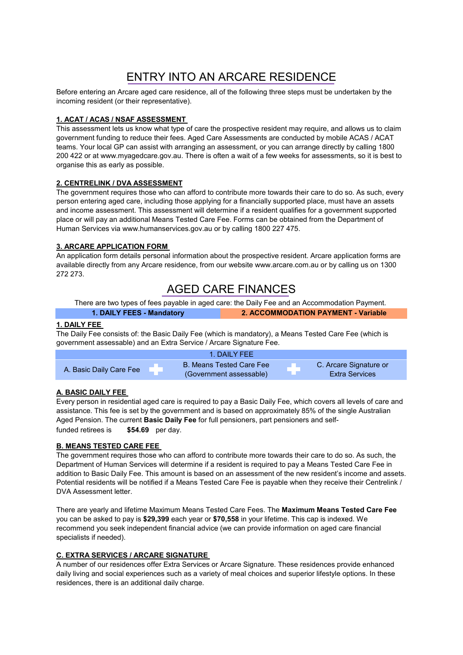# ENTRY INTO AN ARCARE RESIDENCE

Before entering an Arcare aged care residence, all of the following three steps must be undertaken by the incoming resident (or their representative).

# **1. ACAT / ACAS / NSAF ASSESSMENT**

This assessment lets us know what type of care the prospective resident may require, and allows us to claim government funding to reduce their fees. Aged Care Assessments are conducted by mobile ACAS / ACAT teams. Your local GP can assist with arranging an assessment, or you can arrange directly by calling 1800 200 422 or at www.myagedcare.gov.au. There is often a wait of a few weeks for assessments, so it is best to organise this as early as possible.

### **2. CENTRELINK / DVA ASSESSMENT**

The government requires those who can afford to contribute more towards their care to do so. As such, every person entering aged care, including those applying for a financially supported place, must have an assets and income assessment. This assessment will determine if a resident qualifies for a government supported place or will pay an additional Means Tested Care Fee. Forms can be obtained from the Department of Human Services via www.humanservices.gov.au or by calling 1800 227 475.

# **3. ARCARE APPLICATION FORM**

An application form details personal information about the prospective resident. Arcare application forms are available directly from any Arcare residence, from our website www.arcare.com.au or by calling us on 1300 272 273.

# AGED CARE FINANCES

There are two types of fees payable in aged care: the Daily Fee and an Accommodation Payment.

**1. DAILY FEES - Mandatory 2. ACCOMMODATION PAYMENT - Variable**

# **1. DAILY FEE**

The Daily Fee consists of: the Basic Daily Fee (which is mandatory), a Means Tested Care Fee (which is government assessable) and an Extra Service / Arcare Signature Fee.

|                         | 1. DAILY FFF                                               |                                                 |
|-------------------------|------------------------------------------------------------|-------------------------------------------------|
| A. Basic Daily Care Fee | <b>B. Means Tested Care Fee</b><br>(Government assessable) | C. Arcare Signature or<br><b>Extra Services</b> |

### **A. BASIC DAILY FEE**

**\$54.69** per day. Every person in residential aged care is required to pay a Basic Daily Fee, which covers all levels of care and assistance. This fee is set by the government and is based on approximately 85% of the single Australian Aged Pension. The current **Basic Daily Fee** for full pensioners, part pensioners and selffunded retirees is

### **B. MEANS TESTED CARE FEE**

The government requires those who can afford to contribute more towards their care to do so. As such, the Department of Human Services will determine if a resident is required to pay a Means Tested Care Fee in addition to Basic Daily Fee. This amount is based on an assessment of the new resident's income and assets. Potential residents will be notified if a Means Tested Care Fee is payable when they receive their Centrelink / DVA Assessment letter.

There are yearly and lifetime Maximum Means Tested Care Fees. The **Maximum Means Tested Care Fee**  you can be asked to pay is **\$29,399** each year or **\$70,558** in your lifetime. This cap is indexed. We recommend you seek independent financial advice (we can provide information on aged care financial specialists if needed).

### **C. EXTRA SERVICES / ARCARE SIGNATURE**

A number of our residences offer Extra Services or Arcare Signature. These residences provide enhanced daily living and social experiences such as a variety of meal choices and superior lifestyle options. In these residences, there is an additional daily charge.